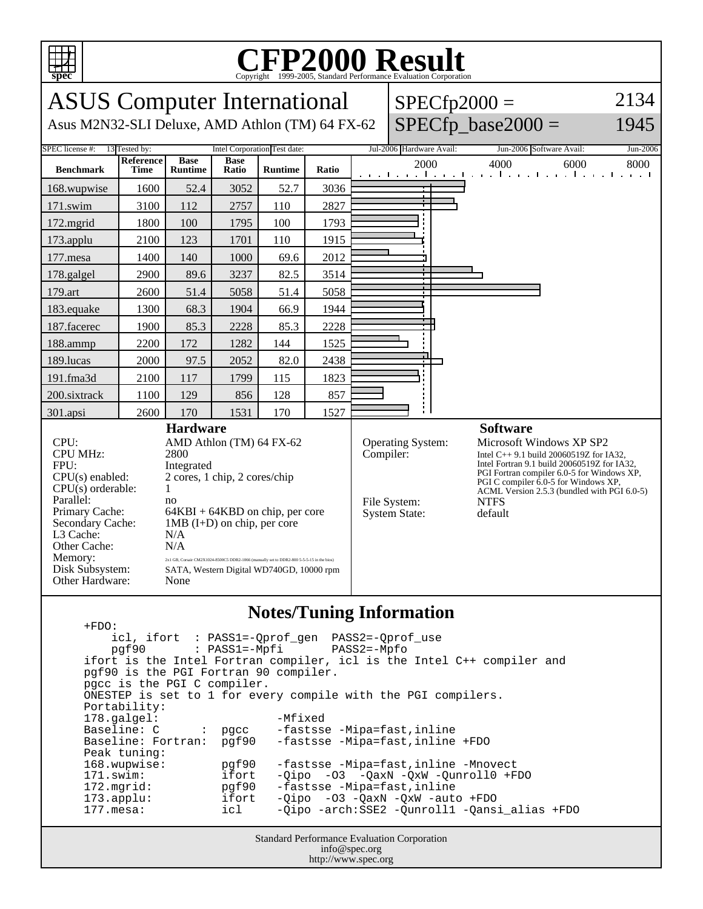

## C<sub>opyright</sub> ©1999-2005, Standard Performance Evaluation Corporation

| <b>ASUS</b> Computer International<br>Asus M2N32-SLI Deluxe, AMD Athlon (TM) 64 FX-62                                                                                                                                                                                                                                                                                                                                                                                                                                                                                          |                          |                               |                      |                |           | $SPECfp2000 =$                                                   | $SPECfp\_base2000 =$                                                                                                                                                                                                                                                                                   | 2134<br>1945                                                          |          |
|--------------------------------------------------------------------------------------------------------------------------------------------------------------------------------------------------------------------------------------------------------------------------------------------------------------------------------------------------------------------------------------------------------------------------------------------------------------------------------------------------------------------------------------------------------------------------------|--------------------------|-------------------------------|----------------------|----------------|-----------|------------------------------------------------------------------|--------------------------------------------------------------------------------------------------------------------------------------------------------------------------------------------------------------------------------------------------------------------------------------------------------|-----------------------------------------------------------------------|----------|
| Intel Corporation Test date:<br>SPEC license #:<br>13 Tested by:                                                                                                                                                                                                                                                                                                                                                                                                                                                                                                               |                          |                               |                      |                |           |                                                                  | Jul-2006 Hardware Avail:                                                                                                                                                                                                                                                                               | Jun-2006 Software Avail:                                              | Jun-2006 |
| <b>Benchmark</b>                                                                                                                                                                                                                                                                                                                                                                                                                                                                                                                                                               | Reference<br><b>Time</b> | <b>Base</b><br><b>Runtime</b> | <b>Base</b><br>Ratio | <b>Runtime</b> | Ratio     |                                                                  | 2000                                                                                                                                                                                                                                                                                                   | 4000<br>6000<br>and the and the and the and the and the and the anti- | 8000     |
| 168.wupwise                                                                                                                                                                                                                                                                                                                                                                                                                                                                                                                                                                    | 1600                     | 52.4                          | 3052                 | 52.7           | 3036      |                                                                  |                                                                                                                                                                                                                                                                                                        |                                                                       |          |
| 171.swim                                                                                                                                                                                                                                                                                                                                                                                                                                                                                                                                                                       | 3100                     | 112                           | 2757                 | 110            | 2827      |                                                                  |                                                                                                                                                                                                                                                                                                        |                                                                       |          |
| 172.mgrid                                                                                                                                                                                                                                                                                                                                                                                                                                                                                                                                                                      | 1800                     | 100                           | 1795                 | 100            | 1793      |                                                                  |                                                                                                                                                                                                                                                                                                        |                                                                       |          |
| 173.applu                                                                                                                                                                                                                                                                                                                                                                                                                                                                                                                                                                      | 2100                     | 123                           | 1701                 | 110            | 1915      |                                                                  |                                                                                                                                                                                                                                                                                                        |                                                                       |          |
| 177.mesa                                                                                                                                                                                                                                                                                                                                                                                                                                                                                                                                                                       | 1400                     | 140                           | 1000                 | 69.6           | 2012      |                                                                  |                                                                                                                                                                                                                                                                                                        |                                                                       |          |
| 178.galgel                                                                                                                                                                                                                                                                                                                                                                                                                                                                                                                                                                     | 2900                     | 89.6                          | 3237                 | 82.5           | 3514      |                                                                  |                                                                                                                                                                                                                                                                                                        |                                                                       |          |
| 179.art                                                                                                                                                                                                                                                                                                                                                                                                                                                                                                                                                                        | 2600                     | 51.4                          | 5058                 | 51.4           | 5058      |                                                                  |                                                                                                                                                                                                                                                                                                        |                                                                       |          |
| 183.equake                                                                                                                                                                                                                                                                                                                                                                                                                                                                                                                                                                     | 1300                     | 68.3                          | 1904                 | 66.9           | 1944      |                                                                  |                                                                                                                                                                                                                                                                                                        |                                                                       |          |
| 187.facerec                                                                                                                                                                                                                                                                                                                                                                                                                                                                                                                                                                    | 1900                     | 85.3                          | 2228                 | 85.3           | 2228      |                                                                  |                                                                                                                                                                                                                                                                                                        |                                                                       |          |
| 188.ammp                                                                                                                                                                                                                                                                                                                                                                                                                                                                                                                                                                       | 2200                     | 172                           | 1282                 | 144            | 1525      |                                                                  |                                                                                                                                                                                                                                                                                                        |                                                                       |          |
| 189.lucas                                                                                                                                                                                                                                                                                                                                                                                                                                                                                                                                                                      | 2000                     | 97.5                          | 2052                 | 82.0           | 2438      |                                                                  |                                                                                                                                                                                                                                                                                                        |                                                                       |          |
| 191.fma3d                                                                                                                                                                                                                                                                                                                                                                                                                                                                                                                                                                      | 2100                     | 117                           | 1799                 | 115            | 1823      |                                                                  |                                                                                                                                                                                                                                                                                                        |                                                                       |          |
| 200.sixtrack                                                                                                                                                                                                                                                                                                                                                                                                                                                                                                                                                                   | 1100                     | 129                           | 856                  | 128            | 857       |                                                                  |                                                                                                                                                                                                                                                                                                        |                                                                       |          |
| 301.apsi                                                                                                                                                                                                                                                                                                                                                                                                                                                                                                                                                                       | 2600                     | 170                           | 1531                 | 170            | 1527      |                                                                  |                                                                                                                                                                                                                                                                                                        |                                                                       |          |
| <b>Hardware</b><br>CPU:<br>AMD Athlon (TM) 64 FX-62<br><b>CPU MHz:</b><br>2800<br>FPU:<br>Integrated<br>2 cores, 1 chip, 2 cores/chip<br>$CPU(s)$ enabled:<br>$CPU(s)$ orderable:<br>1<br>Parallel:<br>no<br>Primary Cache:<br>$64KBI + 64KBD$ on chip, per core<br>$1MB$ (I+D) on chip, per core<br>Secondary Cache:<br>L <sub>3</sub> Cache:<br>N/A<br>Other Cache:<br>N/A<br>Memory:<br>2x1 GB, Corsair CM2X1024-8500C5 DDR2-1066 (manually set to DDR2-800 5-5-5-15 in the bios)<br>Disk Subsystem:<br>SATA, Western Digital WD740GD, 10000 rpm<br>Other Hardware:<br>None |                          |                               |                      |                | Compiler: | <b>Operating System:</b><br>File System:<br><b>System State:</b> | <b>Software</b><br>Microsoft Windows XP SP2<br>Intel C++ 9.1 build 20060519Z for IA32,<br>Intel Fortran 9.1 build 20060519Z for IA32,<br>PGI Fortran compiler 6.0-5 for Windows XP,<br>PGI C compiler $6.0-5$ for Windows XP,<br>ACML Version 2.5.3 (bundled with PGI 6.0-5)<br><b>NTFS</b><br>default |                                                                       |          |

## **Notes/Tuning Information**

Standard Performance Evaluation Corporation +FDO: icl, ifort : PASS1=-Qprof\_gen PASS2=-Qprof\_use  $pgf90$  :  $PASS1=-Mpfi$  ifort is the Intel Fortran compiler, icl is the Intel C++ compiler and pgf90 is the PGI Fortran 90 compiler. pgcc is the PGI C compiler. ONESTEP is set to 1 for every compile with the PGI compilers. Portability: 178.galgel: -Mfixed Baseline: C : pgcc -fastsse -Mipa=fast,inline<br>Baseline: Fortran: pgf90 -fastsse -Mipa=fast,inline -fastsse -Mipa=fast,inline +FDO Peak tuning:<br>168.wupwise: 168.wupwise: pgf90 -fastsse -Mipa=fast,inline -Mnovect 171.swim: ifort -Qipo -O3 -QaxN -QxW -Qunroll0 +FDO<br>172.mgrid: pgf90 -fastsse -Mipa=fast,inline -fastsse -Mipa=fast,inline 173.applu: ifort -Qipo -O3 -QaxN -QxW -auto +FDO 177.mesa: icl -Qipo -arch:SSE2 -Qunroll1 -Qansi\_alias +FDO

info@spec.org http://www.spec.org